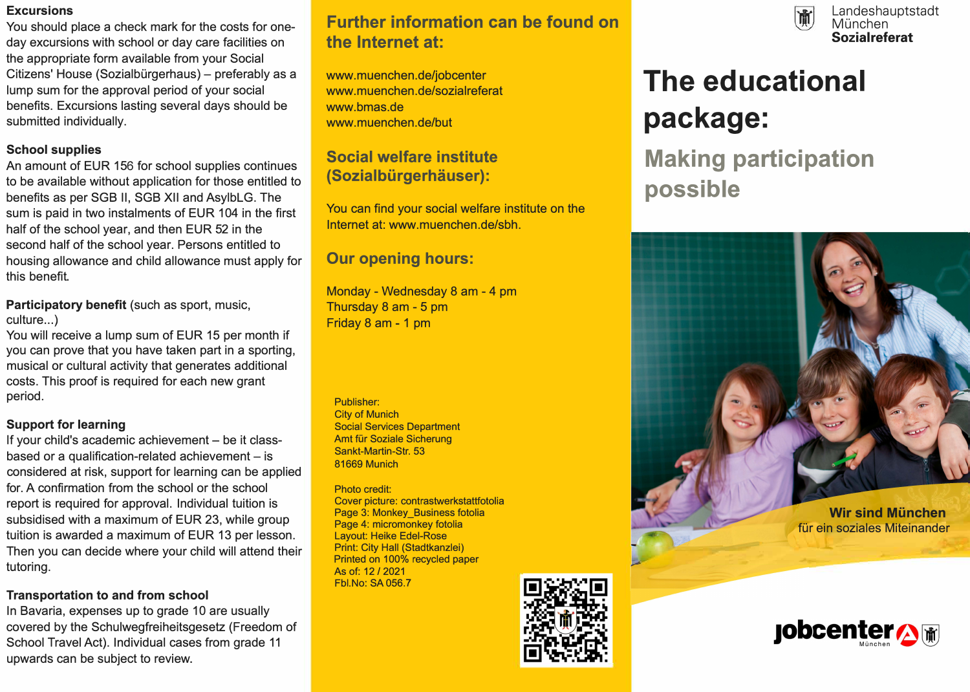#### **Excursions**

You should place a check mark for the costs for oneday excursions with school or day care facilities on the appropriate form available from your Social Citizens' House (Sozialbürgerhaus) - preferably as a lump sum for the approval period of your social benefits. Excursions lasting several days should be submitted individually.

### **School supplies**

An amount of EUR 156 for school supplies continues to be available without application for those entitled to benefits as per 8GB II, 8GB XII and AsylbLG. The sum is paid in two instalments of EUR 104 in the first half of the school year, and then EUR 52 in the second half of the school year. Persons entitled to housing allowance and child allowance must apply for this benefit.

**Participatory benefit** (such as sport, music, culture...)

You will receive a lump sum of EUR 15 per month if you can prove that you have taken part in a sporting, musical or cultural activity that generates additional costs. This proof is required for each new grant period.

#### **Support for learning**

If your child's academic achievement - be it classbased or a qualification-related achievement  $-$  is considered at risk, support for learning can be applied for. A confirmation from the school or the school report is required for approval. Individual tuition is subsidised with a maximum of EUR 23, while group tuition is awarded a maximum of EUR 13 per lesson. Then you can decide where your child will attend their tutoring.

## **Transportation to and from school**

In Bavaria, expenses up to grade 10 are usually covered by the Schulwegfreiheitsgesetz (Freedom of School Travel Act). Individual cases from grade 11 upwards can be subject to review.

# **Further information can be found on the Internet at:**

www.muenchen.de/jobcenter www.muenchen.de/sozialreferat www.bmas.de www.muenchen.de/but

## **Social welfare institute (Sozialbürgerhäuser):**

You can find your social welfare institute on the Internet at: www.muenchen.de/sbh.

# **Our opening hours:**

Monday - Wednesday 8 am - 4 pm Thursday 8 am - 5 pm Friday 8 am - 1 pm

Publisher: City of Munich Social Services Department Amt für Soziale Sicherung Sankt-Martin-Str. 53 81669 Munich

Photo credit: Cover picture: contrastwerkstattfotolia Page 3: Monkey\_Business fotolia Page 4: micromonkey fotolia Layout: Heike Edel-Rose Print: City Hall (Stadtkanzlei) Printed on 100% recycled paper As of: 12 / 2021 Fbl.No: SA 056.7





# **The educational package:**

**Making participation possible** 



für ein soziales Miteinander